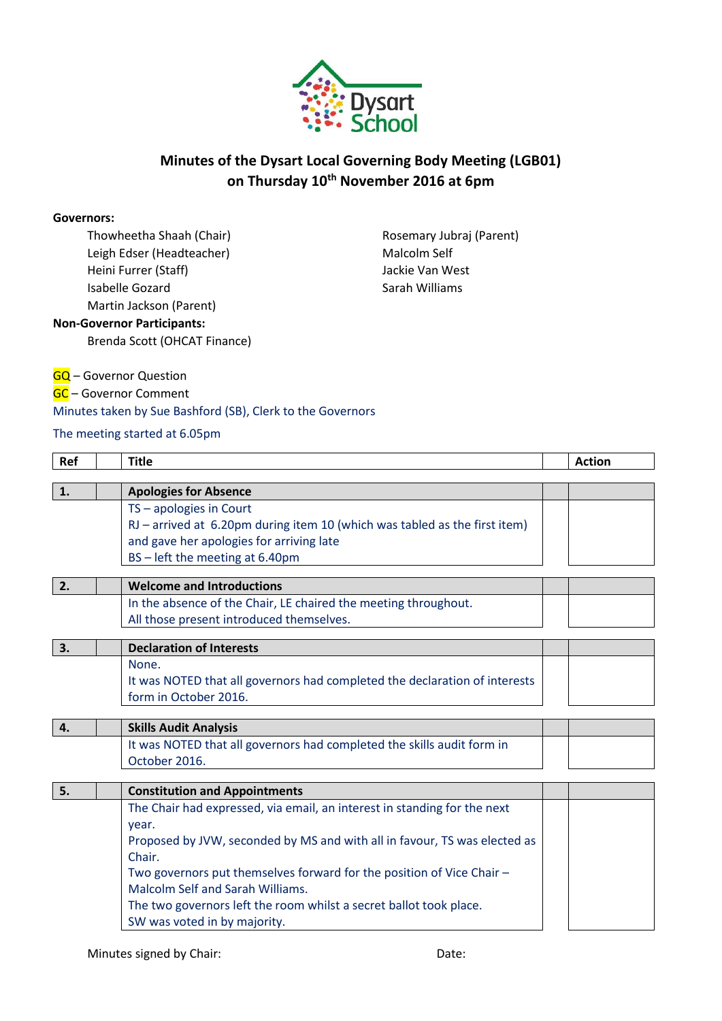

# **Minutes of the Dysart Local Governing Body Meeting (LGB01) on Thursday 10th November 2016 at 6pm**

#### **Governors:**

Thowheetha Shaah (Chair) Leigh Edser (Headteacher) Heini Furrer (Staff) Isabelle Gozard Martin Jackson (Parent) **Non-Governor Participants:**

Brenda Scott (OHCAT Finance)

Rosemary Jubraj (Parent) Malcolm Self Jackie Van West Sarah Williams

### **GQ** – Governor Question

GC – Governor Comment

### Minutes taken by Sue Bashford (SB), Clerk to the Governors

### The meeting started at 6.05pm

| Ref           | <b>Title</b>                                                               | <b>Action</b> |
|---------------|----------------------------------------------------------------------------|---------------|
|               |                                                                            |               |
| 1.            | <b>Apologies for Absence</b>                                               |               |
|               | $TS$ – apologies in Court                                                  |               |
|               | RJ - arrived at 6.20pm during item 10 (which was tabled as the first item) |               |
|               | and gave her apologies for arriving late                                   |               |
|               | BS-left the meeting at 6.40pm                                              |               |
|               |                                                                            |               |
| <sup>2.</sup> | <b>Welcome and Introductions</b>                                           |               |
|               | In the absence of the Chair, LE chaired the meeting throughout.            |               |
|               | All those present introduced themselves.                                   |               |
|               |                                                                            |               |
| 3.            | <b>Declaration of Interests</b>                                            |               |
|               | None.                                                                      |               |
|               | It was NOTED that all governors had completed the declaration of interests |               |
|               | form in October 2016.                                                      |               |
|               |                                                                            |               |
| 4.            | <b>Skills Audit Analysis</b>                                               |               |
|               | It was NOTED that all governors had completed the skills audit form in     |               |
|               | October 2016.                                                              |               |
|               |                                                                            |               |
| 5.            | <b>Constitution and Appointments</b>                                       |               |
|               | The Chair had expressed, via email, an interest in standing for the next   |               |
|               | year.                                                                      |               |
|               | Proposed by JVW, seconded by MS and with all in favour, TS was elected as  |               |
|               | Chair.                                                                     |               |
|               | Two governors put themselves forward for the position of Vice Chair -      |               |
|               | Malcolm Self and Sarah Williams.                                           |               |
|               |                                                                            |               |

The two governors left the room whilst a secret ballot took place. SW was voted in by majority.

Minutes signed by Chair: Date: Date: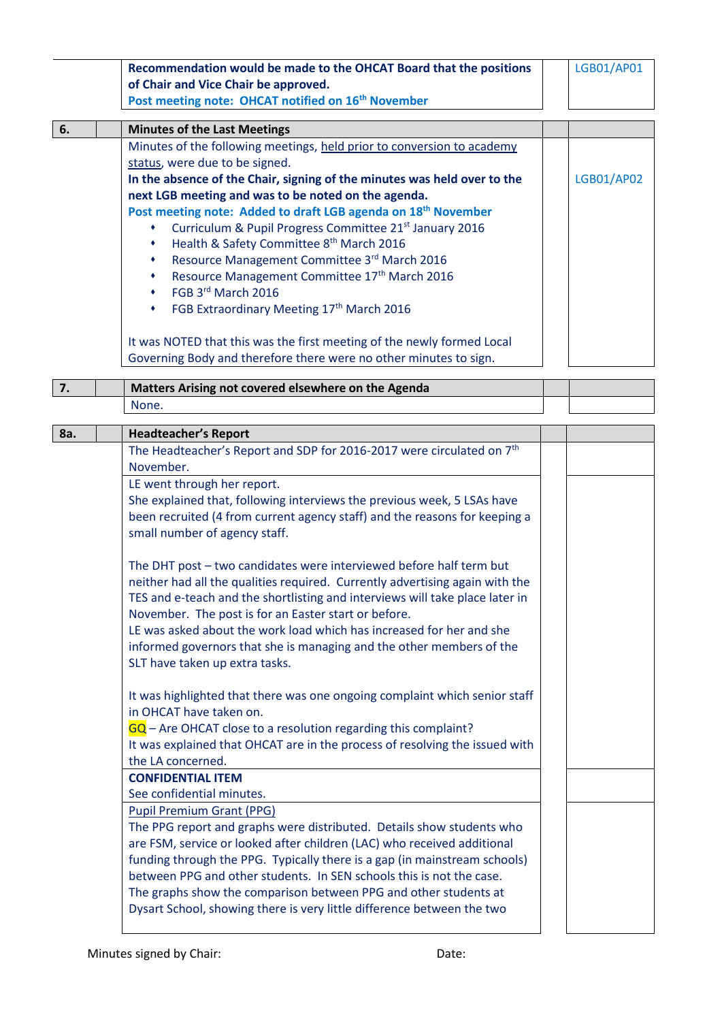|     | Recommendation would be made to the OHCAT Board that the positions                | LGB01/AP01 |
|-----|-----------------------------------------------------------------------------------|------------|
|     | of Chair and Vice Chair be approved.                                              |            |
|     | Post meeting note: OHCAT notified on 16 <sup>th</sup> November                    |            |
|     |                                                                                   |            |
| 6.  | <b>Minutes of the Last Meetings</b>                                               |            |
|     | Minutes of the following meetings, held prior to conversion to academy            |            |
|     | status, were due to be signed.                                                    |            |
|     | In the absence of the Chair, signing of the minutes was held over to the          | LGB01/AP02 |
|     | next LGB meeting and was to be noted on the agenda.                               |            |
|     | Post meeting note: Added to draft LGB agenda on 18 <sup>th</sup> November         |            |
|     | Curriculum & Pupil Progress Committee 21 <sup>st</sup> January 2016               |            |
|     | Health & Safety Committee 8 <sup>th</sup> March 2016                              |            |
|     | Resource Management Committee 3rd March 2016                                      |            |
|     | Resource Management Committee 17th March 2016                                     |            |
|     | FGB 3rd March 2016<br>٠                                                           |            |
|     |                                                                                   |            |
|     | FGB Extraordinary Meeting 17th March 2016<br>٠                                    |            |
|     | It was NOTED that this was the first meeting of the newly formed Local            |            |
|     |                                                                                   |            |
|     | Governing Body and therefore there were no other minutes to sign.                 |            |
| 7.  | Matters Arising not covered elsewhere on the Agenda                               |            |
|     | None.                                                                             |            |
|     |                                                                                   |            |
| 8a. | <b>Headteacher's Report</b>                                                       |            |
|     | The Headteacher's Report and SDP for 2016-2017 were circulated on 7 <sup>th</sup> |            |
|     | November.                                                                         |            |
|     | LE went through her report.                                                       |            |
|     | She explained that, following interviews the previous week, 5 LSAs have           |            |
|     |                                                                                   |            |
|     | been recruited (4 from current agency staff) and the reasons for keeping a        |            |
|     | small number of agency staff.                                                     |            |
|     |                                                                                   |            |
|     | The DHT post - two candidates were interviewed before half term but               |            |
|     | neither had all the qualities required. Currently advertising again with the      |            |
|     | TES and e-teach and the shortlisting and interviews will take place later in      |            |
|     | November. The post is for an Easter start or before.                              |            |
|     | LE was asked about the work load which has increased for her and she              |            |
|     | informed governors that she is managing and the other members of the              |            |
|     | SLT have taken up extra tasks.                                                    |            |
|     |                                                                                   |            |
|     | It was highlighted that there was one ongoing complaint which senior staff        |            |
|     | in OHCAT have taken on.                                                           |            |
|     | $GQ$ – Are OHCAT close to a resolution regarding this complaint?                  |            |
|     | It was explained that OHCAT are in the process of resolving the issued with       |            |
|     | the LA concerned.                                                                 |            |
|     | <b>CONFIDENTIAL ITEM</b>                                                          |            |
|     | See confidential minutes.                                                         |            |
|     |                                                                                   |            |
|     | <b>Pupil Premium Grant (PPG)</b>                                                  |            |
|     | The PPG report and graphs were distributed. Details show students who             |            |
|     | are FSM, service or looked after children (LAC) who received additional           |            |
|     | funding through the PPG. Typically there is a gap (in mainstream schools)         |            |
|     | between PPG and other students. In SEN schools this is not the case.              |            |
|     | The graphs show the comparison between PPG and other students at                  |            |
|     |                                                                                   |            |
|     | Dysart School, showing there is very little difference between the two            |            |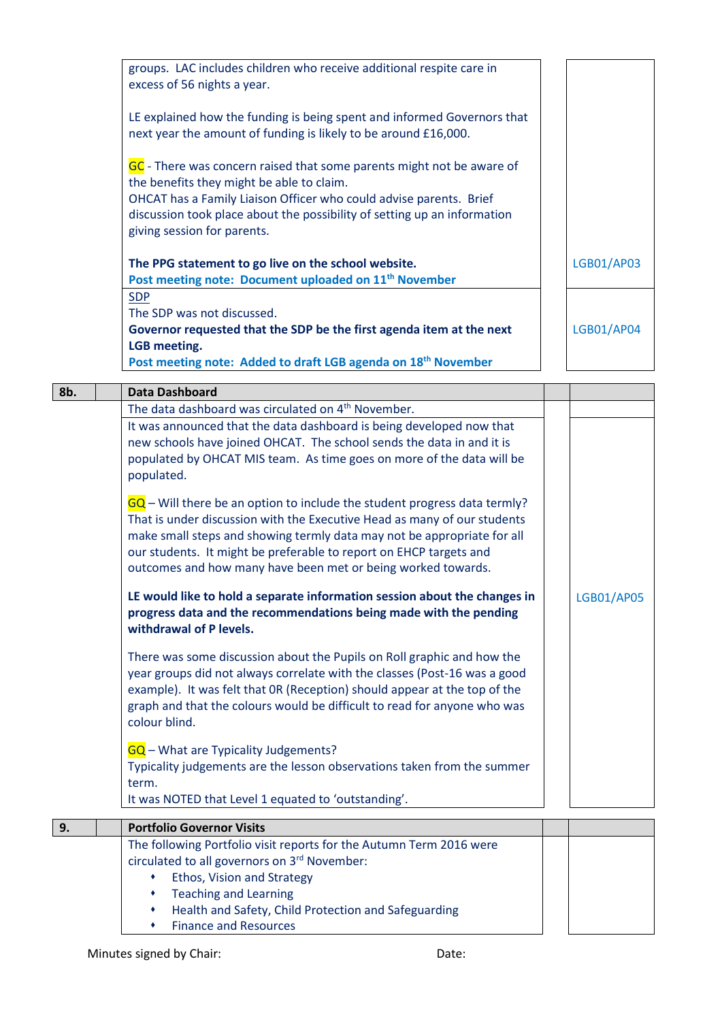| groups. LAC includes children who receive additional respite care in<br>excess of 56 nights a year.                                                                           |                   |
|-------------------------------------------------------------------------------------------------------------------------------------------------------------------------------|-------------------|
| LE explained how the funding is being spent and informed Governors that<br>next year the amount of funding is likely to be around £16,000.                                    |                   |
| GC - There was concern raised that some parents might not be aware of<br>the benefits they might be able to claim.                                                            |                   |
| OHCAT has a Family Liaison Officer who could advise parents. Brief<br>discussion took place about the possibility of setting up an information<br>giving session for parents. |                   |
| The PPG statement to go live on the school website.                                                                                                                           | <b>LGB01/AP03</b> |
| Post meeting note: Document uploaded on 11 <sup>th</sup> November                                                                                                             |                   |
| <b>SDP</b>                                                                                                                                                                    |                   |
| The SDP was not discussed.                                                                                                                                                    |                   |
| Governor requested that the SDP be the first agenda item at the next                                                                                                          | LGB01/AP04        |
| LGB meeting.                                                                                                                                                                  |                   |
| Post meeting note: Added to draft LGB agenda on 18 <sup>th</sup> November                                                                                                     |                   |

| 8b. | <b>Data Dashboard</b>                                                       |            |
|-----|-----------------------------------------------------------------------------|------------|
|     | The data dashboard was circulated on 4 <sup>th</sup> November.              |            |
|     | It was announced that the data dashboard is being developed now that        |            |
|     | new schools have joined OHCAT. The school sends the data in and it is       |            |
|     | populated by OHCAT MIS team. As time goes on more of the data will be       |            |
|     | populated.                                                                  |            |
|     | $GQ$ – Will there be an option to include the student progress data termly? |            |
|     | That is under discussion with the Executive Head as many of our students    |            |
|     | make small steps and showing termly data may not be appropriate for all     |            |
|     | our students. It might be preferable to report on EHCP targets and          |            |
|     | outcomes and how many have been met or being worked towards.                |            |
|     | LE would like to hold a separate information session about the changes in   | LGB01/AP05 |
|     | progress data and the recommendations being made with the pending           |            |
|     | withdrawal of P levels.                                                     |            |
|     | There was some discussion about the Pupils on Roll graphic and how the      |            |
|     | year groups did not always correlate with the classes (Post-16 was a good   |            |
|     | example). It was felt that OR (Reception) should appear at the top of the   |            |
|     | graph and that the colours would be difficult to read for anyone who was    |            |
|     | colour blind.                                                               |            |
|     | GQ - What are Typicality Judgements?                                        |            |
|     | Typicality judgements are the lesson observations taken from the summer     |            |
|     | term.                                                                       |            |
|     | It was NOTED that Level 1 equated to 'outstanding'.                         |            |
| 9.  | <b>Portfolio Governor Visits</b>                                            |            |
|     | The following Portfolio visit reports for the Autumn Term 2016 were         |            |
|     | circulated to all governors on 3rd November:                                |            |
|     | Ethos, Vision and Strategy<br>٠                                             |            |
|     | <b>Teaching and Learning</b><br>٠                                           |            |
|     | Health and Safety, Child Protection and Safeguarding<br>٠                   |            |
|     | <b>Finance and Resources</b><br>٠                                           |            |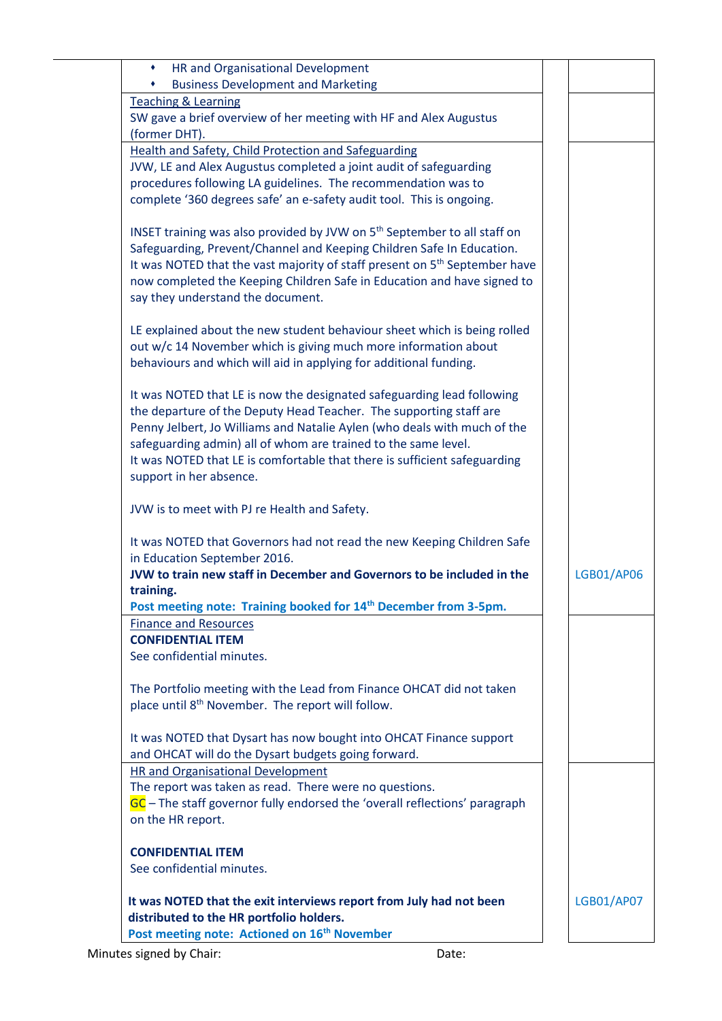| HR and Organisational Development<br>٠                                                              |                   |
|-----------------------------------------------------------------------------------------------------|-------------------|
| <b>Business Development and Marketing</b>                                                           |                   |
| <b>Teaching &amp; Learning</b><br>SW gave a brief overview of her meeting with HF and Alex Augustus |                   |
| (former DHT).                                                                                       |                   |
| <b>Health and Safety, Child Protection and Safeguarding</b>                                         |                   |
| JVW, LE and Alex Augustus completed a joint audit of safeguarding                                   |                   |
| procedures following LA guidelines. The recommendation was to                                       |                   |
| complete '360 degrees safe' an e-safety audit tool. This is ongoing.                                |                   |
|                                                                                                     |                   |
| INSET training was also provided by JVW on 5 <sup>th</sup> September to all staff on                |                   |
| Safeguarding, Prevent/Channel and Keeping Children Safe In Education.                               |                   |
| It was NOTED that the vast majority of staff present on 5 <sup>th</sup> September have              |                   |
| now completed the Keeping Children Safe in Education and have signed to                             |                   |
| say they understand the document.                                                                   |                   |
|                                                                                                     |                   |
| LE explained about the new student behaviour sheet which is being rolled                            |                   |
| out w/c 14 November which is giving much more information about                                     |                   |
| behaviours and which will aid in applying for additional funding.                                   |                   |
|                                                                                                     |                   |
| It was NOTED that LE is now the designated safeguarding lead following                              |                   |
| the departure of the Deputy Head Teacher. The supporting staff are                                  |                   |
| Penny Jelbert, Jo Williams and Natalie Aylen (who deals with much of the                            |                   |
| safeguarding admin) all of whom are trained to the same level.                                      |                   |
| It was NOTED that LE is comfortable that there is sufficient safeguarding                           |                   |
| support in her absence.                                                                             |                   |
|                                                                                                     |                   |
| JVW is to meet with PJ re Health and Safety.                                                        |                   |
| It was NOTED that Governors had not read the new Keeping Children Safe                              |                   |
| in Education September 2016.                                                                        |                   |
| JVW to train new staff in December and Governors to be included in the                              | LGB01/AP06        |
| training.                                                                                           |                   |
| Post meeting note: Training booked for 14 <sup>th</sup> December from 3-5pm.                        |                   |
| <b>Finance and Resources</b>                                                                        |                   |
| <b>CONFIDENTIAL ITEM</b>                                                                            |                   |
| See confidential minutes.                                                                           |                   |
|                                                                                                     |                   |
| The Portfolio meeting with the Lead from Finance OHCAT did not taken                                |                   |
| place until 8 <sup>th</sup> November. The report will follow.                                       |                   |
|                                                                                                     |                   |
| It was NOTED that Dysart has now bought into OHCAT Finance support                                  |                   |
| and OHCAT will do the Dysart budgets going forward.                                                 |                   |
| <b>HR and Organisational Development</b>                                                            |                   |
| The report was taken as read. There were no questions.                                              |                   |
| GC - The staff governor fully endorsed the 'overall reflections' paragraph                          |                   |
| on the HR report.                                                                                   |                   |
| <b>CONFIDENTIAL ITEM</b>                                                                            |                   |
| See confidential minutes.                                                                           |                   |
|                                                                                                     |                   |
| It was NOTED that the exit interviews report from July had not been                                 | <b>LGB01/AP07</b> |
| distributed to the HR portfolio holders.                                                            |                   |
| Post meeting note: Actioned on 16 <sup>th</sup> November                                            |                   |
| Minutes signed by Chair:<br>Date:                                                                   |                   |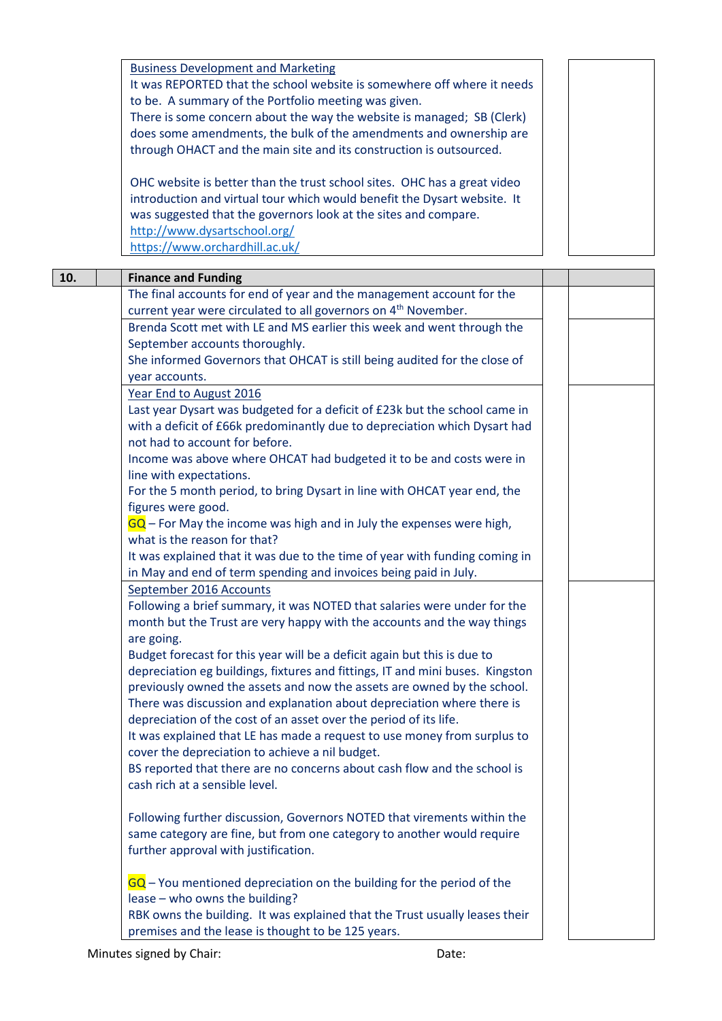|     | <b>Business Development and Marketing</b>                                         |  |  |
|-----|-----------------------------------------------------------------------------------|--|--|
|     | It was REPORTED that the school website is somewhere off where it needs           |  |  |
|     | to be. A summary of the Portfolio meeting was given.                              |  |  |
|     | There is some concern about the way the website is managed; SB (Clerk)            |  |  |
|     | does some amendments, the bulk of the amendments and ownership are                |  |  |
|     | through OHACT and the main site and its construction is outsourced.               |  |  |
|     |                                                                                   |  |  |
|     | OHC website is better than the trust school sites. OHC has a great video          |  |  |
|     | introduction and virtual tour which would benefit the Dysart website. It          |  |  |
|     | was suggested that the governors look at the sites and compare.                   |  |  |
|     | http://www.dysartschool.org/                                                      |  |  |
|     | https://www.orchardhill.ac.uk/                                                    |  |  |
|     |                                                                                   |  |  |
| 10. | <b>Finance and Funding</b>                                                        |  |  |
|     | The final accounts for end of year and the management account for the             |  |  |
|     | current year were circulated to all governors on 4 <sup>th</sup> November.        |  |  |
|     | Brenda Scott met with LE and MS earlier this week and went through the            |  |  |
|     | September accounts thoroughly.                                                    |  |  |
|     | She informed Governors that OHCAT is still being audited for the close of         |  |  |
|     | year accounts.                                                                    |  |  |
|     | Year End to August 2016                                                           |  |  |
|     | Last year Dysart was budgeted for a deficit of £23k but the school came in        |  |  |
|     | with a deficit of £66k predominantly due to depreciation which Dysart had         |  |  |
|     | not had to account for before.                                                    |  |  |
|     | Income was above where OHCAT had budgeted it to be and costs were in              |  |  |
|     | line with expectations.                                                           |  |  |
|     | For the 5 month period, to bring Dysart in line with OHCAT year end, the          |  |  |
|     | figures were good.                                                                |  |  |
|     | $\overline{GQ}$ – For May the income was high and in July the expenses were high, |  |  |
|     | what is the reason for that?                                                      |  |  |
|     | It was explained that it was due to the time of year with funding coming in       |  |  |
|     | in May and end of term spending and invoices being paid in July.                  |  |  |
|     | September 2016 Accounts                                                           |  |  |
|     | Following a brief summary, it was NOTED that salaries were under for the          |  |  |
|     | month but the Trust are very happy with the accounts and the way things           |  |  |
|     | are going.                                                                        |  |  |
|     | Budget forecast for this year will be a deficit again but this is due to          |  |  |
|     | depreciation eg buildings, fixtures and fittings, IT and mini buses. Kingston     |  |  |
|     | previously owned the assets and now the assets are owned by the school.           |  |  |
|     | There was discussion and explanation about depreciation where there is            |  |  |
|     | depreciation of the cost of an asset over the period of its life.                 |  |  |
|     | It was explained that LE has made a request to use money from surplus to          |  |  |
|     | cover the depreciation to achieve a nil budget.                                   |  |  |
|     | BS reported that there are no concerns about cash flow and the school is          |  |  |
|     | cash rich at a sensible level.                                                    |  |  |
|     |                                                                                   |  |  |
|     | Following further discussion, Governors NOTED that virements within the           |  |  |
|     | same category are fine, but from one category to another would require            |  |  |
|     | further approval with justification.                                              |  |  |
|     |                                                                                   |  |  |
|     | $GQ$ – You mentioned depreciation on the building for the period of the           |  |  |
|     | lease - who owns the building?                                                    |  |  |
|     | RBK owns the building. It was explained that the Trust usually leases their       |  |  |
|     | premises and the lease is thought to be 125 years.                                |  |  |
|     |                                                                                   |  |  |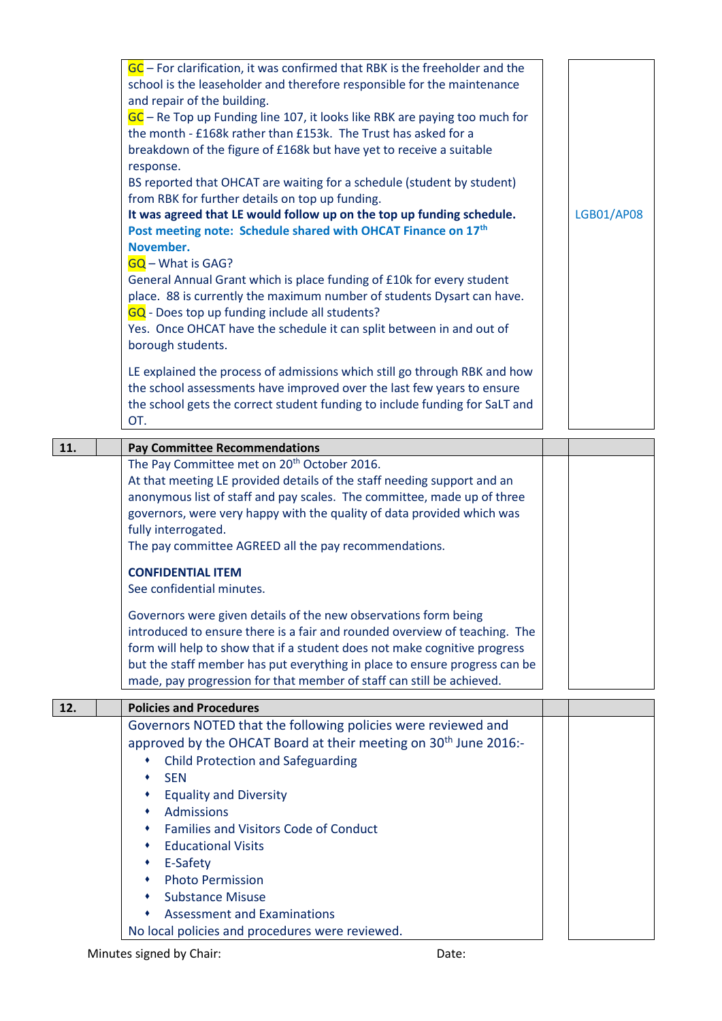|     | $GC$ – For clarification, it was confirmed that RBK is the freeholder and the<br>school is the leaseholder and therefore responsible for the maintenance<br>and repair of the building.<br>$GC$ – Re Top up Funding line 107, it looks like RBK are paying too much for<br>the month - £168k rather than £153k. The Trust has asked for a<br>breakdown of the figure of £168k but have yet to receive a suitable<br>response.<br>BS reported that OHCAT are waiting for a schedule (student by student)<br>from RBK for further details on top up funding.<br>It was agreed that LE would follow up on the top up funding schedule.<br>Post meeting note: Schedule shared with OHCAT Finance on 17th<br>November.<br>$GG - What is GAG?$<br>General Annual Grant which is place funding of £10k for every student<br>place. 88 is currently the maximum number of students Dysart can have.<br>GQ - Does top up funding include all students?<br>Yes. Once OHCAT have the schedule it can split between in and out of<br>borough students.<br>LE explained the process of admissions which still go through RBK and how | <b>LGB01/AP08</b> |
|-----|-------------------------------------------------------------------------------------------------------------------------------------------------------------------------------------------------------------------------------------------------------------------------------------------------------------------------------------------------------------------------------------------------------------------------------------------------------------------------------------------------------------------------------------------------------------------------------------------------------------------------------------------------------------------------------------------------------------------------------------------------------------------------------------------------------------------------------------------------------------------------------------------------------------------------------------------------------------------------------------------------------------------------------------------------------------------------------------------------------------------------|-------------------|
|     | the school assessments have improved over the last few years to ensure<br>the school gets the correct student funding to include funding for SaLT and<br>OT.                                                                                                                                                                                                                                                                                                                                                                                                                                                                                                                                                                                                                                                                                                                                                                                                                                                                                                                                                            |                   |
| 11. | <b>Pay Committee Recommendations</b>                                                                                                                                                                                                                                                                                                                                                                                                                                                                                                                                                                                                                                                                                                                                                                                                                                                                                                                                                                                                                                                                                    |                   |
|     | The Pay Committee met on 20 <sup>th</sup> October 2016.<br>At that meeting LE provided details of the staff needing support and an<br>anonymous list of staff and pay scales. The committee, made up of three<br>governors, were very happy with the quality of data provided which was<br>fully interrogated.<br>The pay committee AGREED all the pay recommendations.                                                                                                                                                                                                                                                                                                                                                                                                                                                                                                                                                                                                                                                                                                                                                 |                   |
|     | <b>CONFIDENTIAL ITEM</b><br>See confidential minutes.                                                                                                                                                                                                                                                                                                                                                                                                                                                                                                                                                                                                                                                                                                                                                                                                                                                                                                                                                                                                                                                                   |                   |
|     | Governors were given details of the new observations form being<br>introduced to ensure there is a fair and rounded overview of teaching. The<br>form will help to show that if a student does not make cognitive progress<br>but the staff member has put everything in place to ensure progress can be<br>made, pay progression for that member of staff can still be achieved.                                                                                                                                                                                                                                                                                                                                                                                                                                                                                                                                                                                                                                                                                                                                       |                   |
| 12. | <b>Policies and Procedures</b>                                                                                                                                                                                                                                                                                                                                                                                                                                                                                                                                                                                                                                                                                                                                                                                                                                                                                                                                                                                                                                                                                          |                   |
|     | Governors NOTED that the following policies were reviewed and<br>approved by the OHCAT Board at their meeting on 30 <sup>th</sup> June 2016:-<br><b>Child Protection and Safeguarding</b><br>٠<br><b>SEN</b><br>٠<br><b>Equality and Diversity</b><br>٠<br>Admissions<br>٠<br><b>Families and Visitors Code of Conduct</b><br>٠<br><b>Educational Visits</b><br>٠<br>E-Safety<br><b>Photo Permission</b><br>٠                                                                                                                                                                                                                                                                                                                                                                                                                                                                                                                                                                                                                                                                                                           |                   |
|     | <b>Substance Misuse</b><br><b>Assessment and Examinations</b><br>No local policies and procedures were reviewed.                                                                                                                                                                                                                                                                                                                                                                                                                                                                                                                                                                                                                                                                                                                                                                                                                                                                                                                                                                                                        |                   |

Minutes signed by Chair: Date: Date: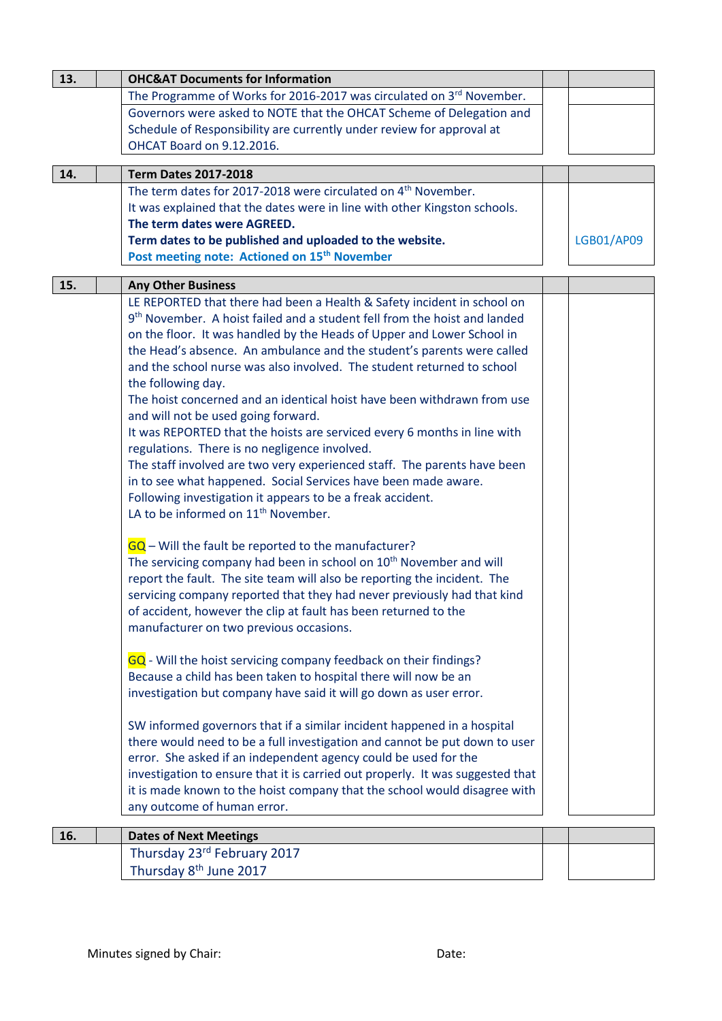| 13. | <b>OHC&amp;AT Documents for Information</b>                                           |            |
|-----|---------------------------------------------------------------------------------------|------------|
|     | The Programme of Works for 2016-2017 was circulated on 3rd November.                  |            |
|     | Governors were asked to NOTE that the OHCAT Scheme of Delegation and                  |            |
|     | Schedule of Responsibility are currently under review for approval at                 |            |
|     | OHCAT Board on 9.12.2016.                                                             |            |
|     |                                                                                       |            |
| 14. | <b>Term Dates 2017-2018</b>                                                           |            |
|     | The term dates for 2017-2018 were circulated on 4 <sup>th</sup> November.             |            |
|     | It was explained that the dates were in line with other Kingston schools.             |            |
|     | The term dates were AGREED.                                                           |            |
|     | Term dates to be published and uploaded to the website.                               | LGB01/AP09 |
|     | Post meeting note: Actioned on 15 <sup>th</sup> November                              |            |
| 15. | <b>Any Other Business</b>                                                             |            |
|     | LE REPORTED that there had been a Health & Safety incident in school on               |            |
|     | 9 <sup>th</sup> November. A hoist failed and a student fell from the hoist and landed |            |
|     | on the floor. It was handled by the Heads of Upper and Lower School in                |            |
|     | the Head's absence. An ambulance and the student's parents were called                |            |
|     | and the school nurse was also involved. The student returned to school                |            |
|     | the following day.                                                                    |            |
|     | The hoist concerned and an identical hoist have been withdrawn from use               |            |
|     | and will not be used going forward.                                                   |            |
|     | It was REPORTED that the hoists are serviced every 6 months in line with              |            |
|     | regulations. There is no negligence involved.                                         |            |
|     | The staff involved are two very experienced staff. The parents have been              |            |
|     | in to see what happened. Social Services have been made aware.                        |            |
|     | Following investigation it appears to be a freak accident.                            |            |
|     | LA to be informed on 11 <sup>th</sup> November.                                       |            |
|     |                                                                                       |            |
|     | $GQ$ – Will the fault be reported to the manufacturer?                                |            |
|     | The servicing company had been in school on 10 <sup>th</sup> November and will        |            |
|     | report the fault. The site team will also be reporting the incident. The              |            |
|     | servicing company reported that they had never previously had that kind               |            |
|     | of accident, however the clip at fault has been returned to the                       |            |
|     | manufacturer on two previous occasions.                                               |            |
|     |                                                                                       |            |
|     | GQ - Will the hoist servicing company feedback on their findings?                     |            |
|     | Because a child has been taken to hospital there will now be an                       |            |
|     | investigation but company have said it will go down as user error.                    |            |
|     |                                                                                       |            |
|     | SW informed governors that if a similar incident happened in a hospital               |            |
|     | there would need to be a full investigation and cannot be put down to user            |            |
|     | error. She asked if an independent agency could be used for the                       |            |
|     | investigation to ensure that it is carried out properly. It was suggested that        |            |
|     | it is made known to the hoist company that the school would disagree with             |            |
|     | any outcome of human error.                                                           |            |
|     |                                                                                       |            |
| 16. | <b>Dates of Next Meetings</b>                                                         |            |
|     | Thursday 23rd February 2017                                                           |            |
|     | Thursday 8 <sup>th</sup> June 2017                                                    |            |